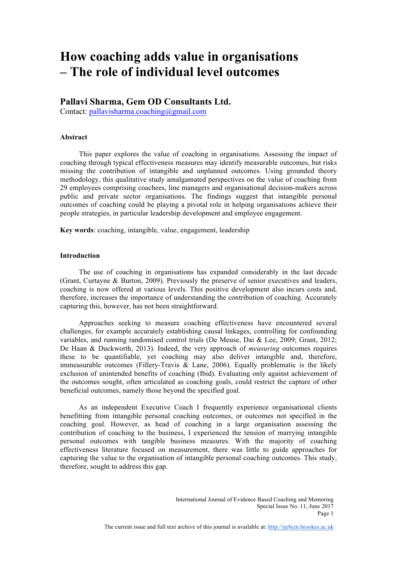# **How coaching adds value in organisations – The role of individual level outcomes**

# **Pallavi Sharma, Gem OD Consultants Ltd.**

Contact: pallavisharma.coaching@gmail.com

# **Abstract**

This paper explores the value of coaching in organisations. Assessing the impact of coaching through typical effectiveness measures may identify measurable outcomes, but risks missing the contribution of intangible and unplanned outcomes. Using grounded theory methodology, this qualitative study amalgamated perspectives on the value of coaching from 29 employees comprising coachees, line managers and organisational decision-makers across public and private sector organisations. The findings suggest that intangible personal outcomes of coaching could be playing a pivotal role in helping organisations achieve their people strategies, in particular leadership development and employee engagement.

**Key words**: coaching, intangible, value, engagement, leadership

## **Introduction**

The use of coaching in organisations has expanded considerably in the last decade (Grant, Curtayne & Burton, 2009). Previously the preserve of senior executives and leaders, coaching is now offered at various levels. This positive development also incurs costs and, therefore, increases the importance of understanding the contribution of coaching. Accurately capturing this, however, has not been straightforward.

Approaches seeking to measure coaching effectiveness have encountered several challenges, for example accurately establishing causal linkages, controlling for confounding variables, and running randomised control trials (De Meuse, Dai & Lee, 2009; Grant, 2012; De Haan & Duckworth, 2013). Indeed, the very approach of *measuring* outcomes requires these to be quantifiable, yet coaching may also deliver intangible and, therefore, immeasurable outcomes (Fillery-Travis  $\&$  Lane, 2006). Equally problematic is the likely exclusion of unintended benefits of coaching (Ibid). Evaluating only against achievement of the outcomes sought, often articulated as coaching goals, could restrict the capture of other beneficial outcomes, namely those beyond the specified goal.

As an independent Executive Coach I frequently experience organisational clients benefitting from intangible personal coaching outcomes, or outcomes not specified in the coaching goal. However, as head of coaching in a large organisation assessing the contribution of coaching to the business, I experienced the tension of marrying intangible personal outcomes with tangible business measures. With the majority of coaching effectiveness literature focused on measurement, there was little to guide approaches for capturing the value to the organisation of intangible personal coaching outcomes. This study, therefore, sought to address this gap.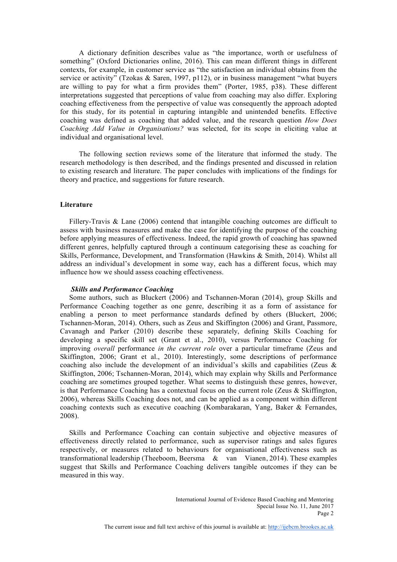A dictionary definition describes value as "the importance, worth or usefulness of something" (Oxford Dictionaries online, 2016). This can mean different things in different contexts, for example, in customer service as "the satisfaction an individual obtains from the service or activity<sup> $\hat{y}$ </sup> (Tzokas & Saren, 1997, p112), or in business management "what buyers" are willing to pay for what a firm provides them" (Porter, 1985, p38). These different interpretations suggested that perceptions of value from coaching may also differ. Exploring coaching effectiveness from the perspective of value was consequently the approach adopted for this study, for its potential in capturing intangible and unintended benefits. Effective coaching was defined as coaching that added value, and the research question *How Does Coaching Add Value in Organisations?* was selected, for its scope in eliciting value at individual and organisational level.

The following section reviews some of the literature that informed the study. The research methodology is then described, and the findings presented and discussed in relation to existing research and literature. The paper concludes with implications of the findings for theory and practice, and suggestions for future research.

#### **Literature**

 Fillery-Travis & Lane (2006) contend that intangible coaching outcomes are difficult to assess with business measures and make the case for identifying the purpose of the coaching before applying measures of effectiveness. Indeed, the rapid growth of coaching has spawned different genres, helpfully captured through a continuum categorising these as coaching for Skills, Performance, Development, and Transformation (Hawkins & Smith, 2014). Whilst all address an individual's development in some way, each has a different focus, which may influence how we should assess coaching effectiveness.

## *Skills and Performance Coaching*

 Some authors, such as Bluckert (2006) and Tschannen-Moran (2014), group Skills and Performance Coaching together as one genre, describing it as a form of assistance for enabling a person to meet performance standards defined by others (Bluckert, 2006; Tschannen-Moran, 2014). Others, such as Zeus and Skiffington (2006) and Grant, Passmore, Cavanagh and Parker (2010) describe these separately, defining Skills Coaching for developing a specific skill set (Grant et al., 2010), versus Performance Coaching for improving *overall* performance *in the current role* over a particular timeframe (Zeus and Skiffington, 2006; Grant et al., 2010). Interestingly, some descriptions of performance coaching also include the development of an individual's skills and capabilities (Zeus & Skiffington, 2006; Tschannen-Moran, 2014), which may explain why Skills and Performance coaching are sometimes grouped together. What seems to distinguish these genres, however, is that Performance Coaching has a contextual focus on the current role (Zeus & Skiffington, 2006), whereas Skills Coaching does not, and can be applied as a component within different coaching contexts such as executive coaching (Kombarakaran, Yang, Baker & Fernandes, 2008).

 Skills and Performance Coaching can contain subjective and objective measures of effectiveness directly related to performance, such as supervisor ratings and sales figures respectively, or measures related to behaviours for organisational effectiveness such as transformational leadership (Theeboom, Beersma & van Vianen, 2014). These examples suggest that Skills and Performance Coaching delivers tangible outcomes if they can be measured in this way.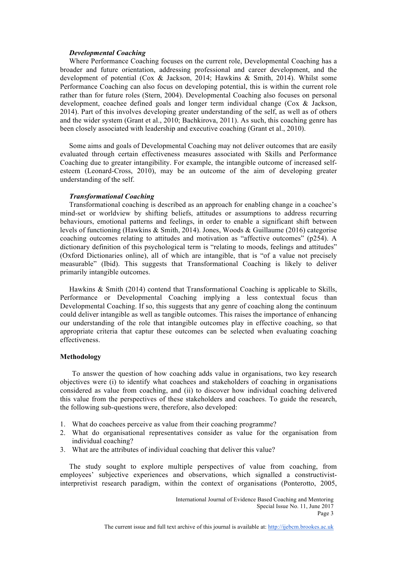#### *Developmental Coaching*

 Where Performance Coaching focuses on the current role, Developmental Coaching has a broader and future orientation, addressing professional and career development, and the development of potential (Cox & Jackson, 2014; Hawkins & Smith, 2014). Whilst some Performance Coaching can also focus on developing potential, this is within the current role rather than for future roles (Stern, 2004). Developmental Coaching also focuses on personal development, coachee defined goals and longer term individual change (Cox & Jackson, 2014). Part of this involves developing greater understanding of the self, as well as of others and the wider system (Grant et al., 2010; Bachkirova, 2011). As such, this coaching genre has been closely associated with leadership and executive coaching (Grant et al., 2010).

 Some aims and goals of Developmental Coaching may not deliver outcomes that are easily evaluated through certain effectiveness measures associated with Skills and Performance Coaching due to greater intangibility. For example, the intangible outcome of increased selfesteem (Leonard-Cross, 2010), may be an outcome of the aim of developing greater understanding of the self.

#### *Transformational Coaching*

 Transformational coaching is described as an approach for enabling change in a coachee's mind-set or worldview by shifting beliefs, attitudes or assumptions to address recurring behaviours, emotional patterns and feelings, in order to enable a significant shift between levels of functioning (Hawkins & Smith, 2014). Jones, Woods & Guillaume (2016) categorise coaching outcomes relating to attitudes and motivation as "affective outcomes" (p254). A dictionary definition of this psychological term is "relating to moods, feelings and attitudes" (Oxford Dictionaries online), all of which are intangible, that is "of a value not precisely measurable" (Ibid). This suggests that Transformational Coaching is likely to deliver primarily intangible outcomes.

 Hawkins & Smith (2014) contend that Transformational Coaching is applicable to Skills, Performance or Developmental Coaching implying a less contextual focus than Developmental Coaching. If so, this suggests that any genre of coaching along the continuum could deliver intangible as well as tangible outcomes. This raises the importance of enhancing our understanding of the role that intangible outcomes play in effective coaching, so that appropriate criteria that captur these outcomes can be selected when evaluating coaching effectiveness.

#### **Methodology**

To answer the question of how coaching adds value in organisations, two key research objectives were (i) to identify what coachees and stakeholders of coaching in organisations considered as value from coaching, and (ii) to discover how individual coaching delivered this value from the perspectives of these stakeholders and coachees. To guide the research, the following sub-questions were, therefore, also developed:

- 1. What do coachees perceive as value from their coaching programme?
- 2. What do organisational representatives consider as value for the organisation from individual coaching?
- 3. What are the attributes of individual coaching that deliver this value?

 The study sought to explore multiple perspectives of value from coaching, from employees' subjective experiences and observations, which signalled a constructivistinterpretivist research paradigm, within the context of organisations (Ponterotto, 2005,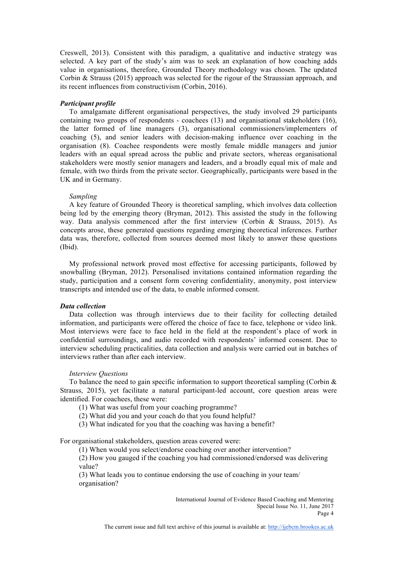Creswell, 2013). Consistent with this paradigm, a qualitative and inductive strategy was selected. A key part of the study's aim was to seek an explanation of how coaching adds value in organisations, therefore, Grounded Theory methodology was chosen. The updated Corbin & Strauss (2015) approach was selected for the rigour of the Straussian approach, and its recent influences from constructivism (Corbin, 2016).

#### *Participant profile*

 To amalgamate different organisational perspectives, the study involved 29 participants containing two groups of respondents - coachees (13) and organisational stakeholders (16), the latter formed of line managers (3), organisational commissioners/implementers of coaching (5), and senior leaders with decision-making influence over coaching in the organisation (8). Coachee respondents were mostly female middle managers and junior leaders with an equal spread across the public and private sectors, whereas organisational stakeholders were mostly senior managers and leaders, and a broadly equal mix of male and female, with two thirds from the private sector. Geographically, participants were based in the UK and in Germany.

#### *Sampling*

 A key feature of Grounded Theory is theoretical sampling, which involves data collection being led by the emerging theory (Bryman, 2012). This assisted the study in the following way. Data analysis commenced after the first interview (Corbin & Strauss, 2015). As concepts arose, these generated questions regarding emerging theoretical inferences. Further data was, therefore, collected from sources deemed most likely to answer these questions (Ibid).

 My professional network proved most effective for accessing participants, followed by snowballing (Bryman, 2012). Personalised invitations contained information regarding the study, participation and a consent form covering confidentiality, anonymity, post interview transcripts and intended use of the data, to enable informed consent.

#### *Data collection*

 Data collection was through interviews due to their facility for collecting detailed information, and participants were offered the choice of face to face, telephone or video link. Most interviews were face to face held in the field at the respondent's place of work in confidential surroundings, and audio recorded with respondents' informed consent. Due to interview scheduling practicalities, data collection and analysis were carried out in batches of interviews rather than after each interview.

## *Interview Questions*

To balance the need to gain specific information to support theoretical sampling (Corbin  $\&$ Strauss, 2015), yet facilitate a natural participant-led account, core question areas were identified. For coachees, these were:

(1) What was useful from your coaching programme?

- (2) What did you and your coach do that you found helpful?
- (3) What indicated for you that the coaching was having a benefit?

For organisational stakeholders, question areas covered were:

(1) When would you select/endorse coaching over another intervention?

(2) How you gauged if the coaching you had commissioned/endorsed was delivering value?

(3) What leads you to continue endorsing the use of coaching in your team/ organisation?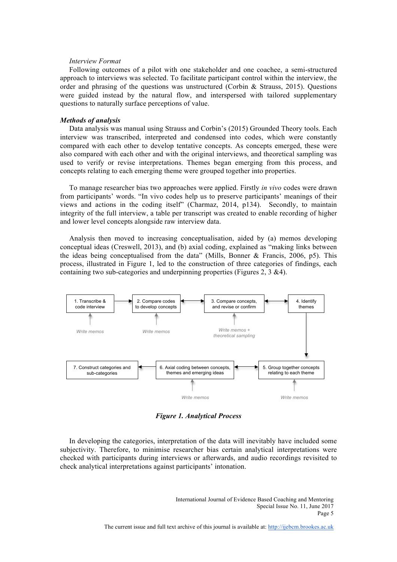#### *Interview Format*

 Following outcomes of a pilot with one stakeholder and one coachee, a semi-structured approach to interviews was selected. To facilitate participant control within the interview, the order and phrasing of the questions was unstructured (Corbin & Strauss, 2015). Questions were guided instead by the natural flow, and interspersed with tailored supplementary questions to naturally surface perceptions of value.

#### *Methods of analysis*

 Data analysis was manual using Strauss and Corbin's (2015) Grounded Theory tools. Each interview was transcribed, interpreted and condensed into codes, which were constantly compared with each other to develop tentative concepts. As concepts emerged, these were also compared with each other and with the original interviews, and theoretical sampling was used to verify or revise interpretations. Themes began emerging from this process, and concepts relating to each emerging theme were grouped together into properties.

 To manage researcher bias two approaches were applied. Firstly *in vivo* codes were drawn from participants' words. "In vivo codes help us to preserve participants' meanings of their views and actions in the coding itself" (Charmaz, 2014, p134). Secondly, to maintain integrity of the full interview, a table per transcript was created to enable recording of higher and lower level concepts alongside raw interview data.

 Analysis then moved to increasing conceptualisation, aided by (a) memos developing conceptual ideas (Creswell, 2013), and (b) axial coding, explained as "making links between the ideas being conceptualised from the data" (Mills, Bonner  $\&$  Francis, 2006, p5). This process, illustrated in Figure 1, led to the construction of three categories of findings, each containing two sub-categories and underpinning properties (Figures 2, 3 &4).



*Figure 1. Analytical Process*

 In developing the categories, interpretation of the data will inevitably have included some subjectivity. Therefore, to minimise researcher bias certain analytical interpretations were checked with participants during interviews or afterwards, and audio recordings revisited to check analytical interpretations against participants' intonation.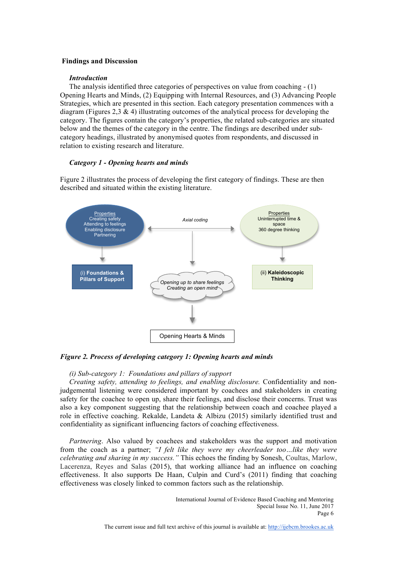#### **Findings and Discussion**

## *Introduction*

 The analysis identified three categories of perspectives on value from coaching - (1) Opening Hearts and Minds, (2) Equipping with Internal Resources, and (3) Advancing People Strategies, which are presented in this section. Each category presentation commences with a diagram (Figures 2,3  $\&$  4) illustrating outcomes of the analytical process for developing the category. The figures contain the category's properties, the related sub-categories are situated below and the themes of the category in the centre. The findings are described under subcategory headings, illustrated by anonymised quotes from respondents, and discussed in relation to existing research and literature.

## *Category 1 - Opening hearts and minds*

Figure 2 illustrates the process of developing the first category of findings. These are then described and situated within the existing literature.



*Figure 2. Process of developing category 1: Opening hearts and minds*

## *(i) Sub-category 1: Foundations and pillars of support*

 *Creating safety, attending to feelings, and enabling disclosure.* Confidentiality and nonjudgemental listening were considered important by coachees and stakeholders in creating safety for the coachee to open up, share their feelings, and disclose their concerns. Trust was also a key component suggesting that the relationship between coach and coachee played a role in effective coaching. Rekalde, Landeta & Albizu (2015) similarly identified trust and confidentiality as significant influencing factors of coaching effectiveness.

*Partnering*. Also valued by coachees and stakeholders was the support and motivation from the coach as a partner; *"I felt like they were my cheerleader too…like they were celebrating and sharing in my success."* This echoes the finding by Sonesh, Coultas, Marlow, Lacerenza, Reyes and Salas (2015), that working alliance had an influence on coaching effectiveness. It also supports De Haan, Culpin and Curd's (2011) finding that coaching effectiveness was closely linked to common factors such as the relationship.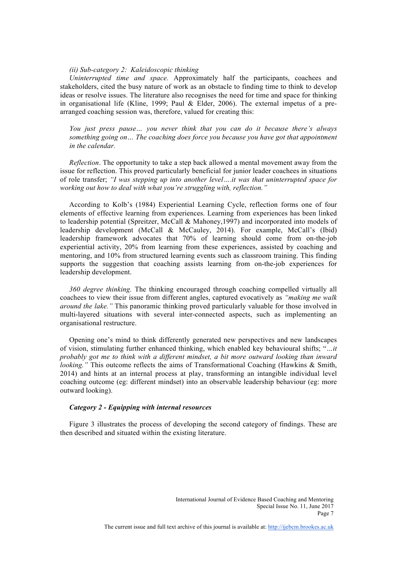#### *(ii) Sub-category 2: Kaleidoscopic thinking*

 *Uninterrupted time and space.* Approximately half the participants, coachees and stakeholders, cited the busy nature of work as an obstacle to finding time to think to develop ideas or resolve issues. The literature also recognises the need for time and space for thinking in organisational life (Kline, 1999; Paul & Elder, 2006). The external impetus of a prearranged coaching session was, therefore, valued for creating this:

*You just press pause… you never think that you can do it because there's always something going on… The coaching does force you because you have got that appointment in the calendar.*

 *Reflection*. The opportunity to take a step back allowed a mental movement away from the issue for reflection. This proved particularly beneficial for junior leader coachees in situations of role transfer; *"I was stepping up into another level….it was that uninterrupted space for working out how to deal with what you're struggling with, reflection."*

 According to Kolb's (1984) Experiential Learning Cycle, reflection forms one of four elements of effective learning from experiences. Learning from experiences has been linked to leadership potential (Spreitzer, McCall & Mahoney,1997) and incorporated into models of leadership development (McCall & McCauley, 2014). For example, McCall's (Ibid) leadership framework advocates that 70% of learning should come from on-the-job experiential activity, 20% from learning from these experiences, assisted by coaching and mentoring, and 10% from structured learning events such as classroom training. This finding supports the suggestion that coaching assists learning from on-the-job experiences for leadership development.

 *360 degree thinking.* The thinking encouraged through coaching compelled virtually all coachees to view their issue from different angles, captured evocatively as *"making me walk around the lake."* This panoramic thinking proved particularly valuable for those involved in multi-layered situations with several inter-connected aspects, such as implementing an organisational restructure.

 Opening one's mind to think differently generated new perspectives and new landscapes of vision, stimulating further enhanced thinking, which enabled key behavioural shifts; "*…it probably got me to think with a different mindset, a bit more outward looking than inward looking.*" This outcome reflects the aims of Transformational Coaching (Hawkins & Smith, 2014) and hints at an internal process at play, transforming an intangible individual level coaching outcome (eg: different mindset) into an observable leadership behaviour (eg: more outward looking).

#### *Category 2 - Equipping with internal resources*

 Figure 3 illustrates the process of developing the second category of findings. These are then described and situated within the existing literature.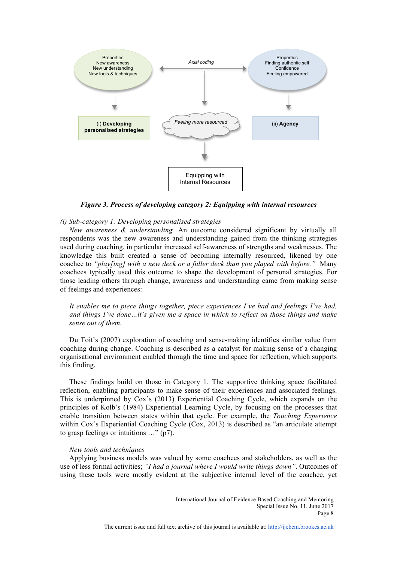

*Figure 3. Process of developing category 2: Equipping with internal resources*

#### *(i) Sub-category 1: Developing personalised strategies*

 *New awareness & understanding.* An outcome considered significant by virtually all respondents was the new awareness and understanding gained from the thinking strategies used during coaching, in particular increased self-awareness of strengths and weaknesses. The knowledge this built created a sense of becoming internally resourced, likened by one coachee to *"play[ing] with a new deck or a fuller deck than you played with before."* Many coachees typically used this outcome to shape the development of personal strategies. For those leading others through change, awareness and understanding came from making sense of feelings and experiences:

*It enables me to piece things together, piece experiences I've had and feelings I've had, and things I've done…it's given me a space in which to reflect on those things and make sense out of them.*

 Du Toit's (2007) exploration of coaching and sense-making identifies similar value from coaching during change. Coaching is described as a catalyst for making sense of a changing organisational environment enabled through the time and space for reflection, which supports this finding.

 These findings build on those in Category 1. The supportive thinking space facilitated reflection, enabling participants to make sense of their experiences and associated feelings. This is underpinned by Cox's (2013) Experiential Coaching Cycle, which expands on the principles of Kolb's (1984) Experiential Learning Cycle, by focusing on the processes that enable transition between states within that cycle. For example, the *Touching Experience* within Cox's Experiential Coaching Cycle (Cox, 2013) is described as "an articulate attempt to grasp feelings or intuitions …" (p7).

#### *New tools and techniques*

 Applying business models was valued by some coachees and stakeholders, as well as the use of less formal activities; *"I had a journal where I would write things down"*. Outcomes of using these tools were mostly evident at the subjective internal level of the coachee, yet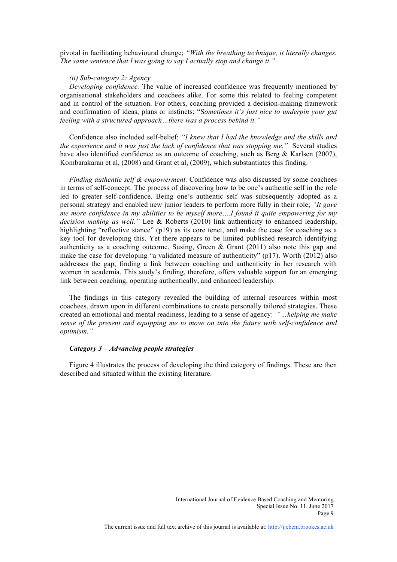pivotal in facilitating behavioural change; *"With the breathing technique, it literally changes. The same sentence that I was going to say I actually stop and change it."*

#### *(ii) Sub-category 2: Agency*

 *Developing confidence.* The value of increased confidence was frequently mentioned by organisational stakeholders and coachees alike. For some this related to feeling competent and in control of the situation. For others, coaching provided a decision-making framework and confirmation of ideas, plans or instincts; "S*ometimes it's just nice to underpin your gut feeling with a structured approach…there was a process behind it."*

 Confidence also included self-belief; *"I knew that I had the knowledge and the skills and the experience and it was just the lack of confidence that was stopping me."* Several studies have also identified confidence as an outcome of coaching, such as Berg & Karlsen (2007), Kombarakaran et al, (2008) and Grant et al, (2009), which substantiates this finding.

 *Finding authentic self & empowerment.* Confidence was also discussed by some coachees in terms of self-concept. The process of discovering how to be one's authentic self in the role led to greater self-confidence. Being one's authentic self was subsequently adopted as a personal strategy and enabled new junior leaders to perform more fully in their role; *"It gave me more confidence in my abilities to be myself more….I found it quite empowering for my decision making as well."* Lee & Roberts (2010) link authenticity to enhanced leadership, highlighting "reflective stance" (p19) as its core tenet, and make the case for coaching as a key tool for developing this. Yet there appears to be limited published research identifying authenticity as a coaching outcome. Susing, Green & Grant (2011) also note this gap and make the case for developing "a validated measure of authenticity" (p17). Worth (2012) also addresses the gap, finding a link between coaching and authenticity in her research with women in academia. This study's finding, therefore, offers valuable support for an emerging link between coaching, operating authentically, and enhanced leadership.

 The findings in this category revealed the building of internal resources within most coachees, drawn upon in different combinations to create personally tailored strategies. These created an emotional and mental readiness, leading to a sense of agency: *"…helping me make sense of the present and equipping me to move on into the future with self-confidence and optimism."*

#### *Category 3 – Advancing people strategies*

 Figure 4 illustrates the process of developing the third category of findings. These are then described and situated within the existing literature.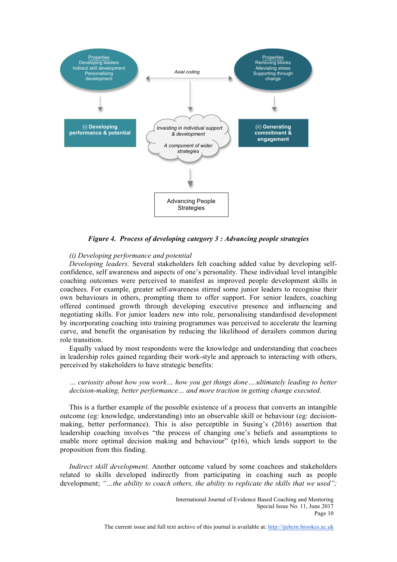

*Figure 4. Process of developing category 3 : Advancing people strategies*

#### *(i) Developing performance and potential*

 *Developing leaders.* Several stakeholders felt coaching added value by developing selfconfidence, self awareness and aspects of one's personality. These individual level intangible coaching outcomes were perceived to manifest as improved people development skills in coachees. For example, greater self-awareness stirred some junior leaders to recognise their own behaviours in others, prompting them to offer support. For senior leaders, coaching offered continued growth through developing executive presence and influencing and negotiating skills. For junior leaders new into role, personalising standardised development by incorporating coaching into training programmes was perceived to accelerate the learning curve, and benefit the organisation by reducing the likelihood of derailers common during role transition.

 Equally valued by most respondents were the knowledge and understanding that coachees in leadership roles gained regarding their work-style and approach to interacting with others, perceived by stakeholders to have strategic benefits:

*… curiosity about how you work… how you get things done….ultimately leading to better decision-making, better performance… and more traction in getting change executed.*

 This is a further example of the possible existence of a process that converts an intangible outcome (eg: knowledge, understanding) into an observable skill or behaviour (eg: decisionmaking, better performance). This is also perceptible in Susing's (2016) assertion that leadership coaching involves "the process of changing one's beliefs and assumptions to enable more optimal decision making and behaviour" (p16), which lends support to the proposition from this finding.

 *Indirect skill development*. Another outcome valued by some coachees and stakeholders related to skills developed indirectly from participating in coaching such as people development; *"…the ability to coach others, the ability to replicate the skills that we used";*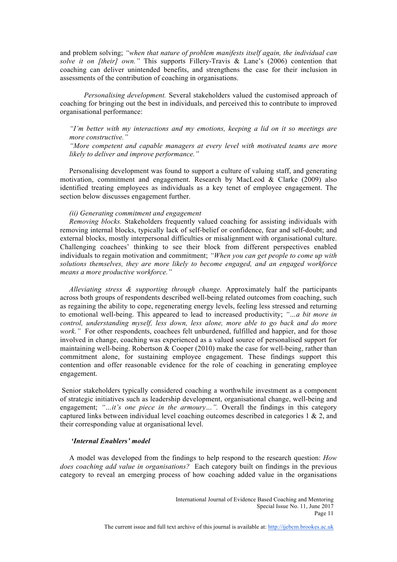and problem solving; *"when that nature of problem manifests itself again, the individual can solve it on [their] own."* This supports Fillery-Travis & Lane's (2006) contention that coaching can deliver unintended benefits, and strengthens the case for their inclusion in assessments of the contribution of coaching in organisations.

*Personalising development.* Several stakeholders valued the customised approach of coaching for bringing out the best in individuals, and perceived this to contribute to improved organisational performance:

*"I'm better with my interactions and my emotions, keeping a lid on it so meetings are more constructive."*

*"More competent and capable managers at every level with motivated teams are more likely to deliver and improve performance."*

 Personalising development was found to support a culture of valuing staff, and generating motivation, commitment and engagement. Research by MacLeod & Clarke (2009) also identified treating employees as individuals as a key tenet of employee engagement. The section below discusses engagement further.

#### *(ii) Generating commitment and engagement*

 *Removing blocks.* Stakeholders frequently valued coaching for assisting individuals with removing internal blocks, typically lack of self-belief or confidence, fear and self-doubt; and external blocks, mostly interpersonal difficulties or misalignment with organisational culture. Challenging coachees' thinking to see their block from different perspectives enabled individuals to regain motivation and commitment; *"When you can get people to come up with solutions themselves, they are more likely to become engaged, and an engaged workforce means a more productive workforce."*

 *Alleviating stress & supporting through change.* Approximately half the participants across both groups of respondents described well-being related outcomes from coaching, such as regaining the ability to cope, regenerating energy levels, feeling less stressed and returning to emotional well-being. This appeared to lead to increased productivity; *"…a bit more in control, understanding myself, less down, less alone, more able to go back and do more work.*" For other respondents, coachees felt unburdened, fulfilled and happier, and for those involved in change, coaching was experienced as a valued source of personalised support for maintaining well-being. Robertson  $\&$  Cooper (2010) make the case for well-being, rather than commitment alone, for sustaining employee engagement. These findings support this contention and offer reasonable evidence for the role of coaching in generating employee engagement.

Senior stakeholders typically considered coaching a worthwhile investment as a component of strategic initiatives such as leadership development, organisational change, well-being and engagement; "...*it's one piece in the armoury*...". Overall the findings in this category captured links between individual level coaching outcomes described in categories  $1 \& 2$ , and their corresponding value at organisational level.

#### *'Internal Enablers' model*

 A model was developed from the findings to help respond to the research question: *How does coaching add value in organisations?* Each category built on findings in the previous category to reveal an emerging process of how coaching added value in the organisations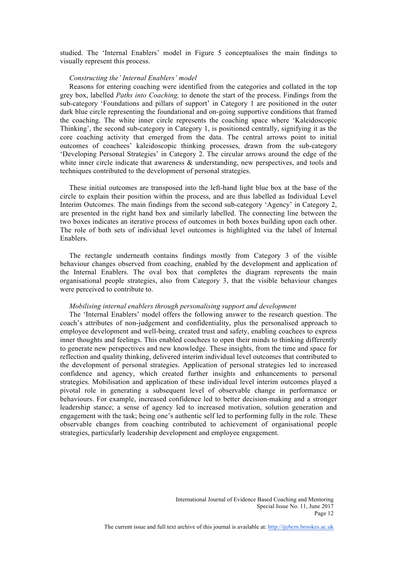studied. The 'Internal Enablers' model in Figure 5 conceptualises the main findings to visually represent this process.

#### *Constructing the' Internal Enablers' model*

 Reasons for entering coaching were identified from the categories and collated in the top grey box, labelled *Paths into Coaching,* to denote the start of the process. Findings from the sub-category 'Foundations and pillars of support' in Category 1 are positioned in the outer dark blue circle representing the foundational and on-going supportive conditions that framed the coaching. The white inner circle represents the coaching space where 'Kaleidoscopic Thinking', the second sub-category in Category 1, is positioned centrally, signifying it as the core coaching activity that emerged from the data. The central arrows point to initial outcomes of coachees' kaleidoscopic thinking processes, drawn from the sub-category 'Developing Personal Strategies' in Category 2. The circular arrows around the edge of the white inner circle indicate that awareness  $\&$  understanding, new perspectives, and tools and techniques contributed to the development of personal strategies.

 These initial outcomes are transposed into the left-hand light blue box at the base of the circle to explain their position within the process, and are thus labelled as Individual Level Interim Outcomes. The main findings from the second sub-category 'Agency' in Category 2, are presented in the right hand box and similarly labelled. The connecting line between the two boxes indicates an iterative process of outcomes in both boxes building upon each other. The role of both sets of individual level outcomes is highlighted via the label of Internal Enablers.

 The rectangle underneath contains findings mostly from Category 3 of the visible behaviour changes observed from coaching, enabled by the development and application of the Internal Enablers. The oval box that completes the diagram represents the main organisational people strategies, also from Category 3, that the visible behaviour changes were perceived to contribute to.

#### *Mobilising internal enablers through personalising support and development*

 The 'Internal Enablers' model offers the following answer to the research question. The coach's attributes of non-judgement and confidentiality, plus the personalised approach to employee development and well-being, created trust and safety, enabling coachees to express inner thoughts and feelings. This enabled coachees to open their minds to thinking differently to generate new perspectives and new knowledge. These insights, from the time and space for reflection and quality thinking, delivered interim individual level outcomes that contributed to the development of personal strategies. Application of personal strategies led to increased confidence and agency, which created further insights and enhancements to personal strategies. Mobilisation and application of these individual level interim outcomes played a pivotal role in generating a subsequent level of observable change in performance or behaviours. For example, increased confidence led to better decision-making and a stronger leadership stance; a sense of agency led to increased motivation, solution generation and engagement with the task; being one's authentic self led to performing fully in the role. These observable changes from coaching contributed to achievement of organisational people strategies, particularly leadership development and employee engagement.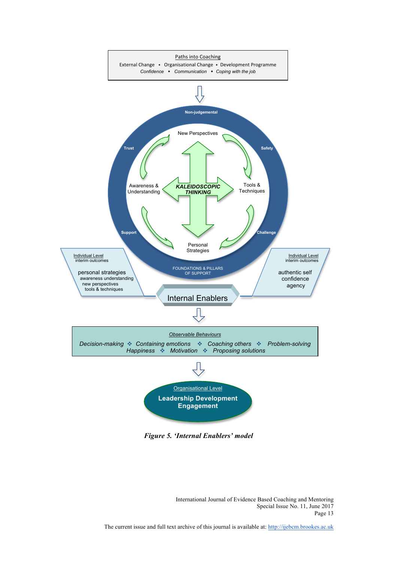

*Figure 5. 'Internal Enablers' model*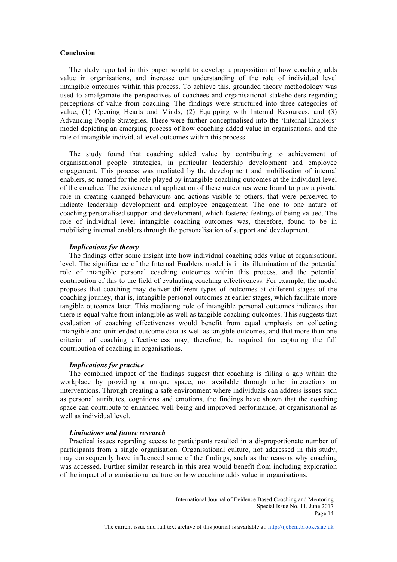#### **Conclusion**

 The study reported in this paper sought to develop a proposition of how coaching adds value in organisations, and increase our understanding of the role of individual level intangible outcomes within this process. To achieve this, grounded theory methodology was used to amalgamate the perspectives of coachees and organisational stakeholders regarding perceptions of value from coaching. The findings were structured into three categories of value; (1) Opening Hearts and Minds, (2) Equipping with Internal Resources, and (3) Advancing People Strategies. These were further conceptualised into the 'Internal Enablers' model depicting an emerging process of how coaching added value in organisations, and the role of intangible individual level outcomes within this process.

 The study found that coaching added value by contributing to achievement of organisational people strategies, in particular leadership development and employee engagement. This process was mediated by the development and mobilisation of internal enablers, so named for the role played by intangible coaching outcomes at the individual level of the coachee. The existence and application of these outcomes were found to play a pivotal role in creating changed behaviours and actions visible to others, that were perceived to indicate leadership development and employee engagement. The one to one nature of coaching personalised support and development, which fostered feelings of being valued. The role of individual level intangible coaching outcomes was, therefore, found to be in mobilising internal enablers through the personalisation of support and development.

#### *Implications for theory*

 The findings offer some insight into how individual coaching adds value at organisational level. The significance of the Internal Enablers model is in its illumination of the potential role of intangible personal coaching outcomes within this process, and the potential contribution of this to the field of evaluating coaching effectiveness. For example, the model proposes that coaching may deliver different types of outcomes at different stages of the coaching journey, that is, intangible personal outcomes at earlier stages, which facilitate more tangible outcomes later. This mediating role of intangible personal outcomes indicates that there is equal value from intangible as well as tangible coaching outcomes. This suggests that evaluation of coaching effectiveness would benefit from equal emphasis on collecting intangible and unintended outcome data as well as tangible outcomes, and that more than one criterion of coaching effectiveness may, therefore, be required for capturing the full contribution of coaching in organisations.

#### *Implications for practice*

 The combined impact of the findings suggest that coaching is filling a gap within the workplace by providing a unique space, not available through other interactions or interventions. Through creating a safe environment where individuals can address issues such as personal attributes, cognitions and emotions, the findings have shown that the coaching space can contribute to enhanced well-being and improved performance, at organisational as well as individual level.

#### *Limitations and future research*

 Practical issues regarding access to participants resulted in a disproportionate number of participants from a single organisation. Organisational culture, not addressed in this study, may consequently have influenced some of the findings, such as the reasons why coaching was accessed. Further similar research in this area would benefit from including exploration of the impact of organisational culture on how coaching adds value in organisations.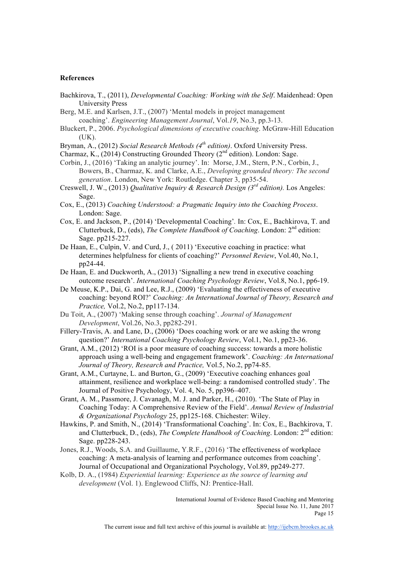#### **References**

- Bachkirova, T., (2011), *Developmental Coaching: Working with the Self*. Maidenhead: Open University Press
- Berg, M.E. and Karlsen, J.T., (2007) 'Mental models in project management coaching'. *Engineering Management Journal*, Vol.*19*, No.3, pp.3-13.
- Bluckert, P., 2006. *Psychological dimensions of executive coaching*. McGraw-Hill Education (UK).
- Bryman, A., (2012) *Social Research Methods (4th edition)*. Oxford University Press.
- Charmaz, K., (2014) Constructing Grounded Theory (2<sup>nd</sup> edition). London: Sage.

Corbin, J., (2016) 'Taking an analytic journey'. In: Morse, J.M., Stern, P.N., Corbin, J., Bowers, B., Charmaz, K. and Clarke, A.E., *Developing grounded theory: The second generation*. London, New York: Routledge. Chapter 3, pp35-54.

- Creswell, J. W., (2013) *Qualitative Inquiry & Research Design (3rd edition).* Los Angeles: Sage.
- Cox, E., (2013) *Coaching Understood: a Pragmatic Inquiry into the Coaching Process*. London: Sage.
- Cox, E. and Jackson, P., (2014) 'Developmental Coaching'*.* In: Cox, E., Bachkirova, T. and Clutterbuck, D., (eds), *The Complete Handbook of Coaching*. London: 2nd edition: Sage. pp215-227.
- De Haan, E., Culpin, V. and Curd, J., ( 2011) 'Executive coaching in practice: what determines helpfulness for clients of coaching?' *Personnel Review*, Vol.40, No.1, pp24-44.
- De Haan, E. and Duckworth, A., (2013) 'Signalling a new trend in executive coaching outcome research'. *International Coaching Psychology Review*, Vol.8, No.1, pp6-19.
- De Meuse, K.P., Dai, G. and Lee, R.J., (2009) 'Evaluating the effectiveness of executive coaching: beyond ROI?' *Coaching: An International Journal of Theory, Research and Practice,* Vol.2, No.2, pp117-134.
- Du Toit, A., (2007) 'Making sense through coaching'. *Journal of Management Development*, Vol.26, No.3, pp282-291.
- Fillery-Travis, A. and Lane, D., (2006) 'Does coaching work or are we asking the wrong question?' *International Coaching Psychology Review*, Vol.1, No.1, pp23-36.
- Grant, A.M., (2012) 'ROI is a poor measure of coaching success: towards a more holistic approach using a well-being and engagement framework'. *Coaching: An International Journal of Theory, Research and Practice,* Vol.5, No.2, pp74-85.
- Grant, A.M., Curtayne, L. and Burton, G., (2009) 'Executive coaching enhances goal attainment, resilience and workplace well-being: a randomised controlled study'. The Journal of Positive Psychology, Vol. 4, No. 5, pp396–407.
- Grant, A. M., Passmore, J. Cavanagh, M. J. and Parker, H., (2010). 'The State of Play in Coaching Today: A Comprehensive Review of the Field'. *Annual Review of Industrial & Organizational Psychology* 25, pp125-168. Chichester: Wiley.
- Hawkins, P. and Smith, N., (2014) 'Transformational Coaching'. In: Cox, E., Bachkirova, T. and Clutterbuck, D., (eds), *The Complete Handbook of Coaching*. London: 2nd edition: Sage. pp228-243.
- Jones, R.J., Woods, S.A. and Guillaume, Y.R.F., (2016) 'The effectiveness of workplace coaching: A meta-analysis of learning and performance outcomes from coaching'. Journal of Occupational and Organizational Psychology, Vol.89, pp249-277.
- Kolb, D. A., (1984) *Experiential learning: Experience as the source of learning and development* (Vol. 1). Englewood Cliffs, NJ: Prentice-Hall.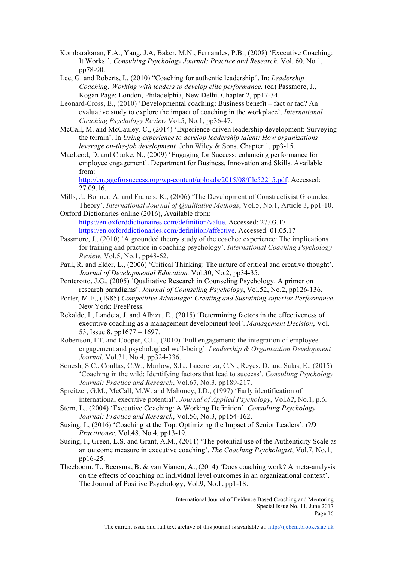- Kombarakaran, F.A., Yang, J.A, Baker, M.N., Fernandes, P.B., (2008) 'Executive Coaching: It Works!'. *Consulting Psychology Journal: Practice and Research,* Vol. 60, No.1, pp78-90.
- Lee, G. and Roberts, I., (2010) "Coaching for authentic leadership". In: *Leadership Coaching: Working with leaders to develop elite performance.* (ed) Passmore, J., Kogan Page: London, Philadelphia, New Delhi. Chapter 2, pp17-34.
- Leonard-Cross, E., (2010) 'Developmental coaching: Business benefit fact or fad? An evaluative study to explore the impact of coaching in the workplace'. *International Coaching Psychology Review* Vol.5, No.1, pp36-47.
- McCall, M. and McCauley. C., (2014) 'Experience-driven leadership development: Surveying the terrain'. In *Using experience to develop leadership talent: How organizations leverage on-the-job development.* John Wiley & Sons. Chapter 1, pp3-15.
- MacLeod, D. and Clarke, N., (2009) 'Engaging for Success: enhancing performance for employee engagement'. Department for Business, Innovation and Skills. Available from:

http://engageforsuccess.org/wp-content/uploads/2015/08/file52215.pdf. Accessed: 27.09.16.

- Mills, J., Bonner, A. and Francis, K., (2006) 'The Development of Constructivist Grounded Theory'. *International Journal of Qualitative Methods*, Vol.5, No.1, Article 3, pp1-10.
- Oxford Dictionaries online (2016), Available from: https://en.oxforddictionaires.com/definition/value. Accessed: 27.03.17. https://en.oxforddictionaries.com/definition/affective. Accessed: 01.05.17
- Passmore, J., (2010) 'A grounded theory study of the coachee experience: The implications for training and practice in coaching psychology'. *International Coaching Psychology Review*, Vol.5, No.1, pp48-62.
- Paul, R. and Elder, L., (2006) 'Critical Thinking: The nature of critical and creative thought'. *Journal of Developmental Education.* Vol.30, No.2, pp34-35.
- Ponterotto, J.G., (2005) 'Qualitative Research in Counseling Psychology. A primer on research paradigms'. *Journal of Counseling Psychology*, Vol.52, No.2, pp126-136.
- Porter, M.E., (1985) *Competitive Advantage: Creating and Sustaining superior Performance*. New York: FreePress.
- Rekalde, I., Landeta, J. and Albizu, E., (2015) 'Determining factors in the effectiveness of executive coaching as a management development tool'. *Management Decision*, Vol. 53, Issue 8, pp1677 – 1697.
- Robertson, I.T. and Cooper, C.L., (2010) 'Full engagement: the integration of employee engagement and psychological well-being'. *Leadership & Organization Development Journal*, Vol.31, No.4, pp324-336.
- Sonesh, S.C., Coultas, C.W., Marlow, S.L., Lacerenza, C.N., Reyes, D. and Salas, E., (2015) 'Coaching in the wild: Identifying factors that lead to success'. *Consulting Psychology Journal: Practice and Research*, Vol.67, No.3, pp189-217.

Spreitzer, G.M., McCall, M.W. and Mahoney, J.D., (1997) 'Early identification of international executive potential'. *Journal of Applied Psychology*, Vol.*82*, No.1, p.6.

Stern, L., (2004) 'Executive Coaching: A Working Definition'. *Consulting Psychology Journal: Practice and Research*, Vol.56, No.3, pp154-162.

- Susing, I., (2016) 'Coaching at the Top: Optimizing the Impact of Senior Leaders'. *OD Practitioner*, Vol.48, No.4, pp13-19.
- Susing, I., Green, L.S. and Grant, A.M., (2011) 'The potential use of the Authenticity Scale as an outcome measure in executive coaching'. *The Coaching Psychologist*, Vol.7, No.1, pp16-25.
- Theeboom, T., Beersma, B. & van Vianen, A., (2014) 'Does coaching work? A meta-analysis on the effects of coaching on individual level outcomes in an organizational context'. The Journal of Positive Psychology, Vol.9, No.1, pp1-18.